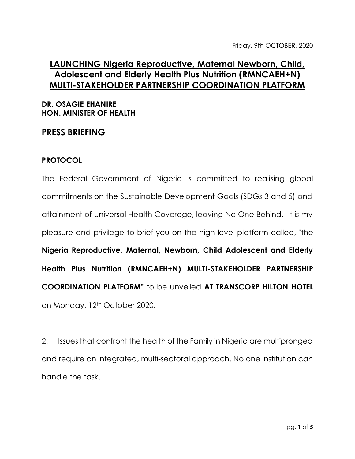## **LAUNCHING Nigeria Reproductive, Maternal Newborn, Child, Adolescent and Elderly Health Plus Nutrition (RMNCAEH+N) MULTI-STAKEHOLDER PARTNERSHIP COORDINATION PLATFORM**

## **DR. OSAGIE EHANIRE HON. MINISTER OF HEALTH**

## **PRESS BRIEFING**

## **PROTOCOL**

The Federal Government of Nigeria is committed to realising global commitments on the Sustainable Development Goals (SDGs 3 and 5) and attainment of Universal Health Coverage, leaving No One Behind. It is my pleasure and privilege to brief you on the high-level platform called, "the **Nigeria Reproductive, Maternal, Newborn, Child Adolescent and Elderly Health Plus Nutrition (RMNCAEH+N) MULTI-STAKEHOLDER PARTNERSHIP COORDINATION PLATFORM"** to be unveiled **AT TRANSCORP HILTON HOTEL**  on Monday, 12<sup>th</sup> October 2020.

2. Issues that confront the health of the Family in Nigeria are multipronged and require an integrated, multi-sectoral approach. No one institution can handle the task.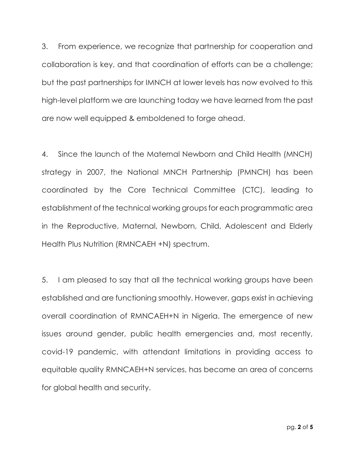3. From experience, we recognize that partnership for cooperation and collaboration is key, and that coordination of efforts can be a challenge; but the past partnerships for IMNCH at lower levels has now evolved to this high-level platform we are launching today we have learned from the past are now well equipped & emboldened to forge ahead.

4. Since the launch of the Maternal Newborn and Child Health (MNCH) strategy in 2007, the National MNCH Partnership (PMNCH) has been coordinated by the Core Technical Committee (CTC), leading to establishment of the technical working groups for each programmatic area in the Reproductive, Maternal, Newborn, Child, Adolescent and Elderly Health Plus Nutrition (RMNCAEH +N) spectrum.

5. I am pleased to say that all the technical working groups have been established and are functioning smoothly. However, gaps exist in achieving overall coordination of RMNCAEH+N in Nigeria. The emergence of new issues around gender, public health emergencies and, most recently, covid-19 pandemic, with attendant limitations in providing access to equitable quality RMNCAEH+N services, has become an area of concerns for global health and security.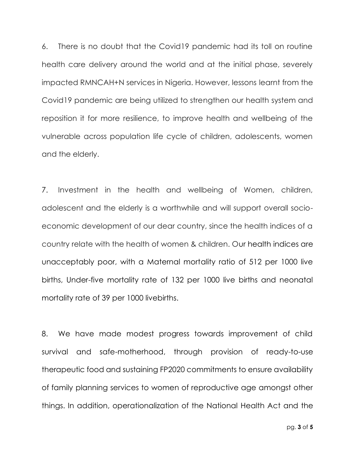6. There is no doubt that the Covid19 pandemic had its toll on routine health care delivery around the world and at the initial phase, severely impacted RMNCAH+N services in Nigeria. However, lessons learnt from the Covid19 pandemic are being utilized to strengthen our health system and reposition it for more resilience, to improve health and wellbeing of the vulnerable across population life cycle of children, adolescents, women and the elderly.

7. Investment in the health and wellbeing of Women, children, adolescent and the elderly is a worthwhile and will support overall socioeconomic development of our dear country, since the health indices of a country relate with the health of women & children. Our health indices are unacceptably poor, with a Maternal mortality ratio of 512 per 1000 live births, Under-five mortality rate of 132 per 1000 live births and neonatal mortality rate of 39 per 1000 livebirths.

8. We have made modest progress towards improvement of child survival and safe-motherhood, through provision of ready-to-use therapeutic food and sustaining FP2020 commitments to ensure availability of family planning services to women of reproductive age amongst other things. In addition, operationalization of the National Health Act and the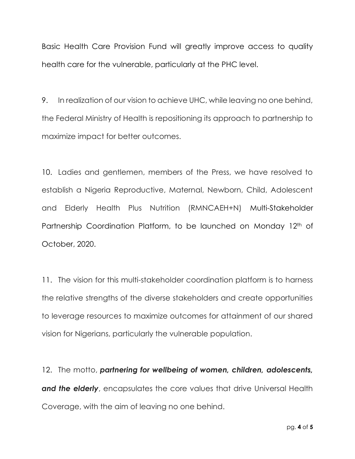Basic Health Care Provision Fund will greatly improve access to quality health care for the vulnerable, particularly at the PHC level.

9. In realization of our vision to achieve UHC, while leaving no one behind, the Federal Ministry of Health is repositioning its approach to partnership to maximize impact for better outcomes.

10. Ladies and gentlemen, members of the Press, we have resolved to establish a Nigeria Reproductive, Maternal, Newborn, Child, Adolescent and Elderly Health Plus Nutrition (RMNCAEH+N) Multi-Stakeholder Partnership Coordination Platform, to be launched on Monday 12<sup>th</sup> of October, 2020.

11. The vision for this multi-stakeholder coordination platform is to harness the relative strengths of the diverse stakeholders and create opportunities to leverage resources to maximize outcomes for attainment of our shared vision for Nigerians, particularly the vulnerable population.

12. The motto, *partnering for wellbeing of women, children, adolescents, and the elderly*, encapsulates the core values that drive Universal Health Coverage, with the aim of leaving no one behind.